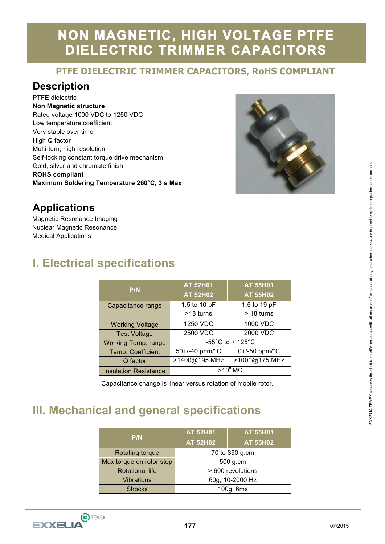## **NON MAGNETIC, HIGH VOLTAGE PTFE DIELECTRIC TRIMMER CAPACITORS**

# **PTFE DIELECTRIC TRIMMER CAPACITORS, RoHS COMPLIANT**

#### **Description**

PTFE dielectric **Non Magnetic structure**  Rated voltage 1000 VDC to 1250 VDC Low temperature coefficient Very stable over time High Q factor Multi-turn, high resolution Self-locking constant torque drive mechanism Gold, silver and chromate finish **ROHS compliant Maximum Soldering Temperature 260°C, 3 s Max** 



#### **Applications**

Magnetic Resonance Imaging Nuclear Magnetic Resonance Medical Applications

### **I. Electrical specifications**

|                              | $AT$ 52H01                            | <b>AT 55H01</b>    |  |
|------------------------------|---------------------------------------|--------------------|--|
| P/N                          | <b>AT 52H02</b>                       | <b>AT 55H02</b>    |  |
| Capacitance range            | 1.5 to 10 pF                          | 1.5 to 19 pF       |  |
|                              | >18 turns                             | $>$ 18 turns       |  |
| <b>Working Voltage</b>       | 1250 VDC                              | 1000 VDC           |  |
| <b>Test Voltage</b>          | 2500 VDC                              | 2000 VDC           |  |
| <b>Working Temp. range</b>   | $-55^{\circ}$ C to + 125 $^{\circ}$ C |                    |  |
| Temp. Coefficient            | 50+/-40 ppm/ $^{\circ}$ C             | $0+/-50$ ppm/ $°C$ |  |
| Q factor                     | >1400@195 MHz                         | >1000@175 MHz      |  |
| <b>Insulation Resistance</b> | $>10^6$ MQ                            |                    |  |

Capacitance change is linear versus rotation of mobile rotor.

#### **III. Mechanical and general specifications**

| P/N                      | <b>AT 52H01</b>   | <b>AT 55H01</b> |
|--------------------------|-------------------|-----------------|
|                          | <b>AT 52H02</b>   | <b>AT 55H02</b> |
| <b>Rotating torque</b>   | 70 to 350 g.cm    |                 |
| Max torque on rotor stop | 500 g.cm          |                 |
| <b>Rotational life</b>   | > 600 revolutions |                 |
| <b>Vibrations</b>        | 60g, 10-2000 Hz   |                 |
| <b>Shocks</b>            | 100g, 6ms         |                 |



l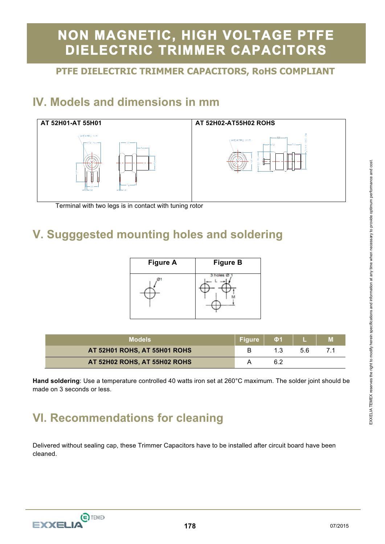## **NON MAGNETIC, HIGH VOLTAGE PTFE DIELECTRIC TRIMMER CAPACITORS**

# **PTFE DIELECTRIC TRIMMER CAPACITORS, RoHS COMPLIANT**

### **IV. Models and dimensions in mm**



Terminal with two legs is in contact with tuning rotor

### **V. Sugggested mounting holes and soldering**

| <b>Figure A</b> | <b>Figure B</b> |
|-----------------|-----------------|
|                 |                 |

| <b>Models</b>                | 'Figure , | <b>O</b> 1 |    | M |
|------------------------------|-----------|------------|----|---|
| AT 52H01 ROHS, AT 55H01 ROHS |           |            | 56 |   |
| AT 52H02 ROHS, AT 55H02 ROHS |           |            |    |   |

**Hand soldering**: Use a temperature controlled 40 watts iron set at 260°C maximum. The solder joint should be made on 3 seconds or less.

### **VI. Recommendations for cleaning**

Delivered without sealing cap, these Trimmer Capacitors have to be installed after circuit board have been cleaned.

EXXELIA TEMEX reserves the right to modify herein specifications and information at any time when necessary to provide optimum performance and cost. EXXELIA TEMEX reserves the right to modify herein specifications and information at any time when necessary to provide optimum performance and cost

l